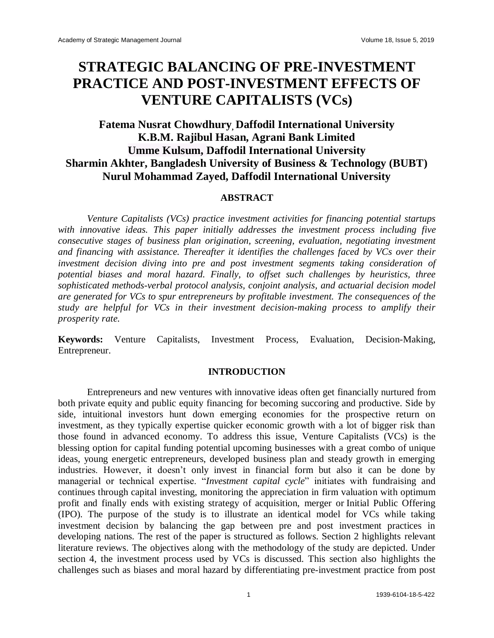# **STRATEGIC BALANCING OF PRE-INVESTMENT PRACTICE AND POST-INVESTMENT EFFECTS OF VENTURE CAPITALISTS (VCs)**

# **Fatema Nusrat Chowdhury, Daffodil International University K.B.M. Rajibul Hasan, Agrani Bank Limited Umme Kulsum, Daffodil International University Sharmin Akhter, Bangladesh University of Business & Technology (BUBT) Nurul Mohammad Zayed, Daffodil International University**

#### **ABSTRACT**

*Venture Capitalists (VCs) practice investment activities for financing potential startups with innovative ideas. This paper initially addresses the investment process including five consecutive stages of business plan origination, screening, evaluation, negotiating investment and financing with assistance. Thereafter it identifies the challenges faced by VCs over their investment decision diving into pre and post investment segments taking consideration of potential biases and moral hazard. Finally, to offset such challenges by heuristics, three sophisticated methods-verbal protocol analysis, conjoint analysis, and actuarial decision model are generated for VCs to spur entrepreneurs by profitable investment. The consequences of the study are helpful for VCs in their investment decision-making process to amplify their prosperity rate.*

**Keywords:** Venture Capitalists, Investment Process, Evaluation, Decision-Making, Entrepreneur.

# **INTRODUCTION**

Entrepreneurs and new ventures with innovative ideas often get financially nurtured from both private equity and public equity financing for becoming succoring and productive. Side by side, intuitional investors hunt down emerging economies for the prospective return on investment, as they typically expertise quicker economic growth with a lot of bigger risk than those found in advanced economy. To address this issue, Venture Capitalists (VCs) is the blessing option for capital funding potential upcoming businesses with a great combo of unique ideas, young energetic entrepreneurs, developed business plan and steady growth in emerging industries. However, it doesn't only invest in financial form but also it can be done by managerial or technical expertise. "*Investment capital cycle*" initiates with fundraising and continues through capital investing, monitoring the appreciation in firm valuation with optimum profit and finally ends with existing strategy of acquisition, [merger](https://www.investopedia.com/terms/m/merger.asp) or [Initial Public Offering](https://www.investopedia.com/university/ipo/ipo.asp)  [\(IPO\).](https://www.investopedia.com/university/ipo/ipo.asp) The purpose of the study is to illustrate an identical model for VCs while taking investment decision by balancing the gap between pre and post investment practices in developing nations. The rest of the paper is structured as follows. Section 2 highlights relevant literature reviews. The objectives along with the methodology of the study are depicted. Under section 4, the investment process used by VCs is discussed. This section also highlights the challenges such as biases and moral hazard by differentiating pre-investment practice from post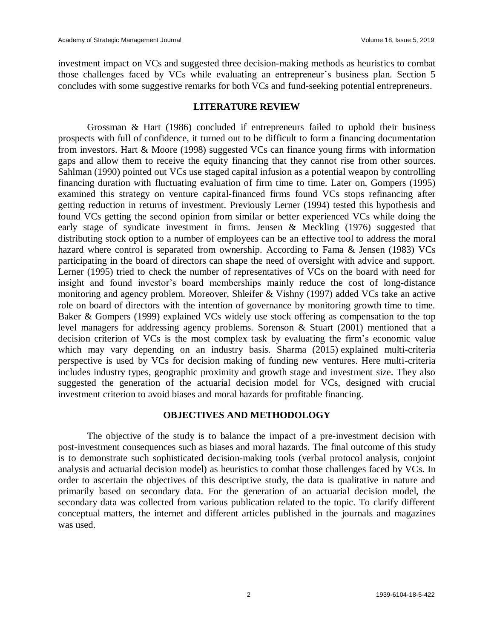investment impact on VCs and suggested three decision-making methods as heuristics to combat those challenges faced by VCs while evaluating an entrepreneur's business plan. Section 5 concludes with some suggestive remarks for both VCs and fund-seeking potential entrepreneurs.

# **LITERATURE REVIEW**

Grossman & Hart (1986) concluded if entrepreneurs failed to uphold their business prospects with full of confidence, it turned out to be difficult to form a financing documentation from investors. Hart & Moore (1998) suggested VCs can finance young firms with information gaps and allow them to receive the equity financing that they cannot rise from other sources. Sahlman (1990) pointed out VCs use staged capital infusion as a potential weapon by controlling financing duration with fluctuating evaluation of firm time to time. Later on, Gompers (1995) examined this strategy on venture capital-financed firms found VCs stops refinancing after getting reduction in returns of investment. Previously Lerner (1994) tested this hypothesis and found VCs getting the second opinion from similar or better experienced VCs while doing the early stage of syndicate investment in firms. Jensen & Meckling (1976) suggested that distributing stock option to a number of employees can be an effective tool to address the moral hazard where control is separated from ownership. According to Fama & Jensen (1983) VCs participating in the board of directors can shape the need of oversight with advice and support. Lerner (1995) tried to check the number of representatives of VCs on the board with need for insight and found investor's board memberships mainly reduce the cost of long-distance monitoring and agency problem. Moreover, Shleifer & Vishny (1997) added VCs take an active role on board of directors with the intention of governance by monitoring growth time to time. Baker & Gompers (1999) explained VCs widely use stock offering as compensation to the top level managers for addressing agency problems. Sorenson & Stuart (2001) mentioned that a decision criterion of VCs is the most complex task by evaluating the firm's economic value which may vary depending on an industry basis. Sharma (2015) explained multi-criteria perspective is used by VCs for decision making of funding new ventures. Here multi-criteria includes industry types, geographic proximity and growth stage and investment size. They also suggested the generation of the actuarial decision model for VCs, designed with crucial investment criterion to avoid biases and moral hazards for profitable financing.

# **OBJECTIVES AND METHODOLOGY**

The objective of the study is to balance the impact of a pre-investment decision with post-investment consequences such as biases and moral hazards. The final outcome of this study is to demonstrate such sophisticated decision-making tools (verbal protocol analysis, conjoint analysis and actuarial decision model) as heuristics to combat those challenges faced by VCs. In order to ascertain the objectives of this descriptive study, the data is qualitative in nature and primarily based on secondary data. For the generation of an actuarial decision model, the secondary data was collected from various publication related to the topic. To clarify different conceptual matters, the internet and different articles published in the journals and magazines was used.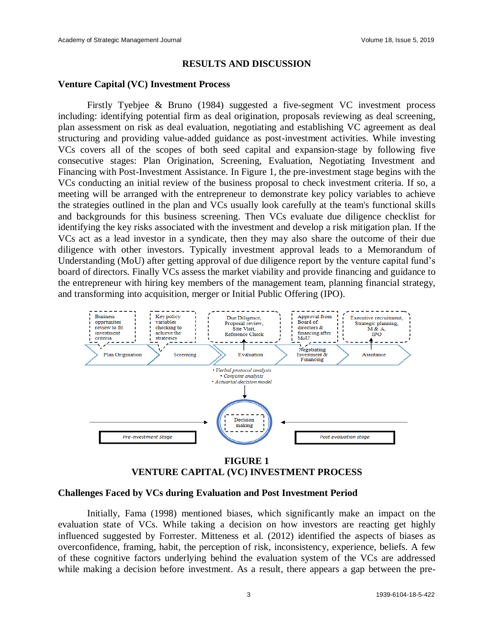# **RESULTS AND DISCUSSION**

#### **Venture Capital (VC) Investment Process**

Firstly Tyebjee & Bruno (1984) suggested a five-segment VC investment process including: identifying potential firm as deal origination, proposals reviewing as deal screening, plan assessment on risk as deal evaluation, negotiating and establishing VC agreement as deal structuring and providing value-added guidance as post-investment activities. While investing VCs covers all of the scopes of both seed capital and expansion-stage by following five consecutive stages: Plan Origination, Screening, Evaluation, Negotiating Investment and Financing with Post-Investment Assistance. In Figure 1, the pre-investment stage begins with the VCs conducting an initial review of the business proposal to check investment criteria. If so, a meeting will be arranged with the entrepreneur to demonstrate key policy variables to achieve the strategies outlined in the plan and VCs usually look carefully at the team's functional skills and backgrounds for this business screening. Then VCs evaluate due diligence checklist for identifying the key risks associated with the investment and develop a risk mitigation plan. If the VCs act as a lead investor in a syndicate, then they may also share the outcome of their due diligence with other investors. Typically investment approval leads to a Memorandum of Understanding (MoU) after getting approval of due diligence report by the venture capital fund's board of directors. Finally VCs assess the market viability and provide financing and guidance to the entrepreneur with hiring key members of the management team, planning financial strategy, and transforming into acquisition, merger or Initial Public Offering (IPO).



# **FIGURE 1 VENTURE CAPITAL (VC) INVESTMENT PROCESS**

#### **Challenges Faced by VCs during Evaluation and Post Investment Period**

Initially, Fama (1998) mentioned biases, which significantly make an impact on the evaluation state of VCs. While taking a decision on how investors are reacting get highly influenced suggested by Forrester. Mitteness et al. (2012) identified the aspects of biases as overconfidence, framing, habit, the perception of risk, inconsistency, experience, beliefs. A few of these cognitive factors underlying behind the evaluation system of the VCs are addressed while making a decision before investment. As a result, there appears a gap between the pre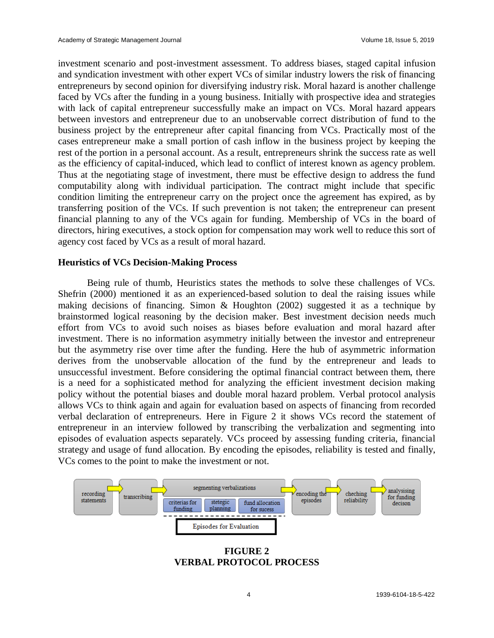investment scenario and post-investment assessment. To address biases, staged capital infusion and syndication investment with other expert VCs of similar industry lowers the risk of financing entrepreneurs by second opinion for diversifying industry risk. Moral hazard is another challenge faced by VCs after the funding in a young business. Initially with prospective idea and strategies with lack of capital entrepreneur successfully make an impact on VCs. Moral hazard appears between investors and entrepreneur due to an unobservable correct distribution of fund to the business project by the entrepreneur after capital financing from VCs. Practically most of the cases entrepreneur make a small portion of cash inflow in the business project by keeping the rest of the portion in a personal account. As a result, entrepreneurs shrink the success rate as well as the efficiency of capital-induced, which lead to conflict of interest known as agency problem. Thus at the negotiating stage of investment, there must be effective design to address the fund computability along with individual participation. The contract might include that specific condition limiting the entrepreneur carry on the project once the agreement has expired, as by transferring position of the VCs. If such prevention is not taken; the entrepreneur can present financial planning to any of the VCs again for funding. Membership of VCs in the board of directors, hiring executives, a stock option for compensation may work well to reduce this sort of agency cost faced by VCs as a result of moral hazard.

# **Heuristics of VCs Decision-Making Process**

Being rule of thumb, Heuristics states the methods to solve these challenges of VCs. Shefrin (2000) mentioned it as an experienced-based solution to deal the raising issues while making decisions of financing. Simon & Houghton (2002) suggested it as a technique by brainstormed logical reasoning by the decision maker. Best investment decision needs much effort from VCs to avoid such noises as biases before evaluation and moral hazard after investment. There is no information asymmetry initially between the investor and entrepreneur but the asymmetry rise over time after the funding. Here the hub of asymmetric information derives from the unobservable allocation of the fund by the entrepreneur and leads to unsuccessful investment. Before considering the optimal financial contract between them, there is a need for a sophisticated method for analyzing the efficient investment decision making policy without the potential biases and double moral hazard problem. Verbal protocol analysis allows VCs to think again and again for evaluation based on aspects of financing from recorded verbal declaration of entrepreneurs. Here in Figure 2 it shows VCs record the statement of entrepreneur in an interview followed by transcribing the verbalization and segmenting into episodes of evaluation aspects separately. VCs proceed by assessing funding criteria, financial strategy and usage of fund allocation. By encoding the episodes, reliability is tested and finally, VCs comes to the point to make the investment or not.



**FIGURE 2 VERBAL PROTOCOL PROCESS**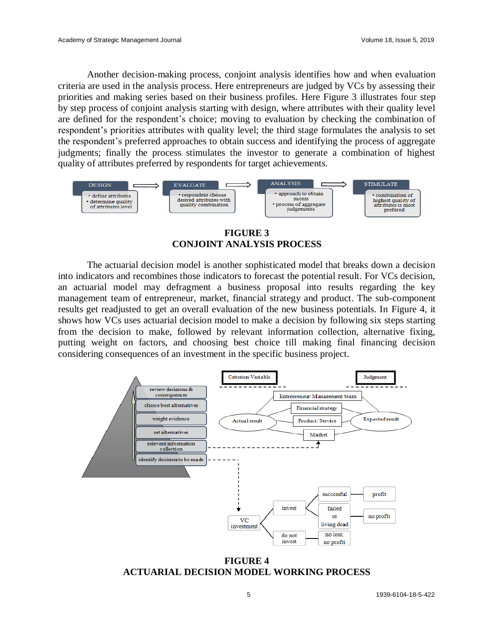Another decision-making process, conjoint analysis identifies how and when evaluation criteria are used in the analysis process. Here entrepreneurs are judged by VCs by assessing their priorities and making series based on their business profiles. Here Figure 3 illustrates four step by step process of conjoint analysis starting with design, where attributes with their quality level are defined for the respondent's choice; moving to evaluation by checking the combination of respondent's priorities attributes with quality level; the third stage formulates the analysis to set the respondent's preferred approaches to obtain success and identifying the process of aggregate judgments; finally the process stimulates the investor to generate a combination of highest quality of attributes preferred by respondents for target achievements.



**FIGURE 3 CONJOINT ANALYSIS PROCESS**

The actuarial decision model is another sophisticated model that breaks down a decision into indicators and recombines those indicators to forecast the potential result. For VCs decision, an actuarial model may defragment a business proposal into results regarding the key management team of entrepreneur, market, financial strategy and product. The sub-component results get readjusted to get an overall evaluation of the new business potentials. In Figure 4, it shows how VCs uses actuarial decision model to make a decision by following six steps starting from the decision to make, followed by relevant information collection, alternative fixing, putting weight on factors, and choosing best choice till making final financing decision considering consequences of an investment in the specific business project.



**FIGURE 4 ACTUARIAL DECISION MODEL WORKING PROCESS**